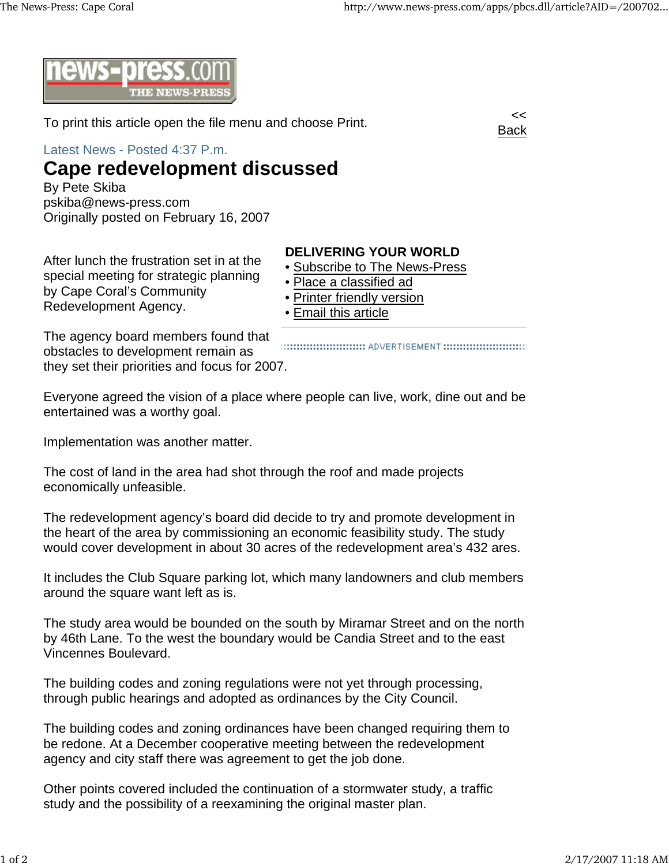Back



To print this article open the file menu and choose Print.

Latest News - Posted 4:37 P.m.

## **Cape redevelopment discussed**

By Pete Skiba pskiba@news-press.com Originally posted on February 16, 2007

After lunch the frustration set in at the special meeting for strategic planning by Cape Coral's Community Redevelopment Agency.

## **DELIVERING YOUR WORLD**

- Subscribe to The News-Press
- Place a classified ad
- Printer friendly version
- Email this article

The agency board members found that obstacles to development remain as they set their priorities and focus for 2007.

::::::::::::::::::::::::::::::::: ADVERTISEMENT ::::::::::::::::::::::::::::::::

Everyone agreed the vision of a place where people can live, work, dine out and be entertained was a worthy goal.

Implementation was another matter.

The cost of land in the area had shot through the roof and made projects economically unfeasible.

The redevelopment agency's board did decide to try and promote development in the heart of the area by commissioning an economic feasibility study. The study would cover development in about 30 acres of the redevelopment area's 432 ares.

It includes the Club Square parking lot, which many landowners and club members around the square want left as is.

The study area would be bounded on the south by Miramar Street and on the north by 46th Lane. To the west the boundary would be Candia Street and to the east Vincennes Boulevard.

The building codes and zoning regulations were not yet through processing, through public hearings and adopted as ordinances by the City Council.

The building codes and zoning ordinances have been changed requiring them to be redone. At a December cooperative meeting between the redevelopment agency and city staff there was agreement to get the job done.

Other points covered included the continuation of a stormwater study, a traffic study and the possibility of a reexamining the original master plan.